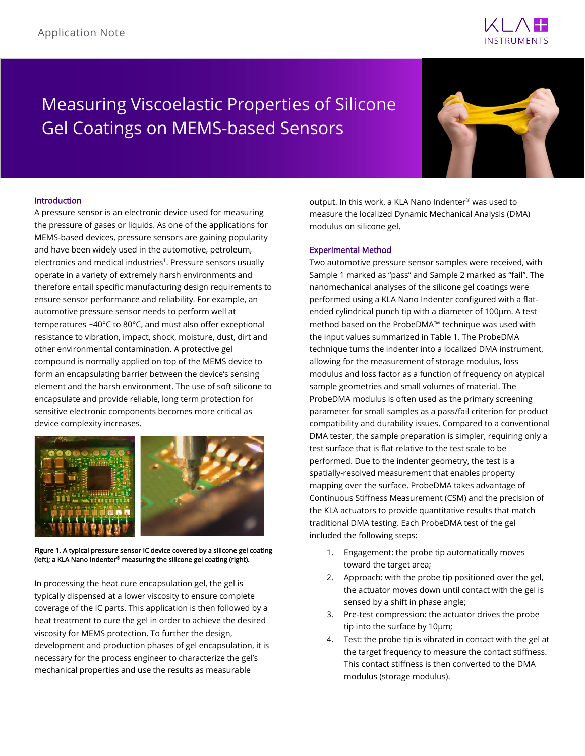

# Measuring Viscoelastic Properties of Silicone Gel Coatings on MEMS-based Sensors



# Introduction

A pressure sensor is an electronic device used for measuring the pressure of gases or liquids. As one of the applications for MEMS-based devices, pressure sensors are gaining popularity and have been widely used in the automotive, petroleum, electronics and medical industries<sup>1</sup>. Pressure sensors usually operate in a variety of extremely harsh environments and therefore entail specific manufacturing design requirements to ensure sensor performance and reliability. For example, an automotive pressure sensor needs to perform well at temperatures ~40°C to 80°C, and must also offer exceptional resistance to vibration, impact, shock, moisture, dust, dirt and other environmental contamination. A protective gel compound is normally applied on top of the MEMS device to form an encapsulating barrier between the device's sensing element and the harsh environment. The use of soft silicone to encapsulate and provide reliable, long term protection for sensitive electronic components becomes more critical as device complexity increases.



Figure 1. A typical pressure sensor IC device covered by a silicone gel coating (left); a KLA Nano Indenter® measuring the silicone gel coating (right).

In processing the heat cure encapsulation gel, the gel is typically dispensed at a lower viscosity to ensure complete coverage of the IC parts. This application is then followed by a heat treatment to cure the gel in order to achieve the desired viscosity for MEMS protection. To further the design, development and production phases of gel encapsulation, it is necessary for the process engineer to characterize the gel's mechanical properties and use the results as measurable

output. In this work, a KLA Nano Indenter® was used to measure the localized Dynamic Mechanical Analysis (DMA) modulus on silicone gel.

### Experimental Method

Two automotive pressure sensor samples were received, with Sample 1 marked as "pass" and Sample 2 marked as "fail". The nanomechanical analyses of the silicone gel coatings were performed using a KLA Nano Indenter configured with a flatended cylindrical punch tip with a diameter of 100µm. A test method based on the ProbeDMA™ technique was used with the input values summarized in Table 1. The ProbeDMA technique turns the indenter into a localized DMA instrument, allowing for the measurement of storage modulus, loss modulus and loss factor as a function of frequency on atypical sample geometries and small volumes of material. The ProbeDMA modulus is often used as the primary screening parameter for small samples as a pass/fail criterion for product compatibility and durability issues. Compared to a conventional DMA tester, the sample preparation is simpler, requiring only a test surface that is flat relative to the test scale to be performed. Due to the indenter geometry, the test is a spatially-resolved measurement that enables property mapping over the surface. ProbeDMA takes advantage of Continuous Stiffness Measurement (CSM) and the precision of the KLA actuators to provide quantitative results that match traditional DMA testing. Each ProbeDMA test of the gel included the following steps:

- 1. Engagement: the probe tip automatically moves toward the target area;
- 2. Approach: with the probe tip positioned over the gel, the actuator moves down until contact with the gel is sensed by a shift in phase angle;
- 3. Pre-test compression: the actuator drives the probe tip into the surface by 10µm;
- 4. Test: the probe tip is vibrated in contact with the gel at the target frequency to measure the contact stiffness. This contact stiffness is then converted to the DMA modulus (storage modulus).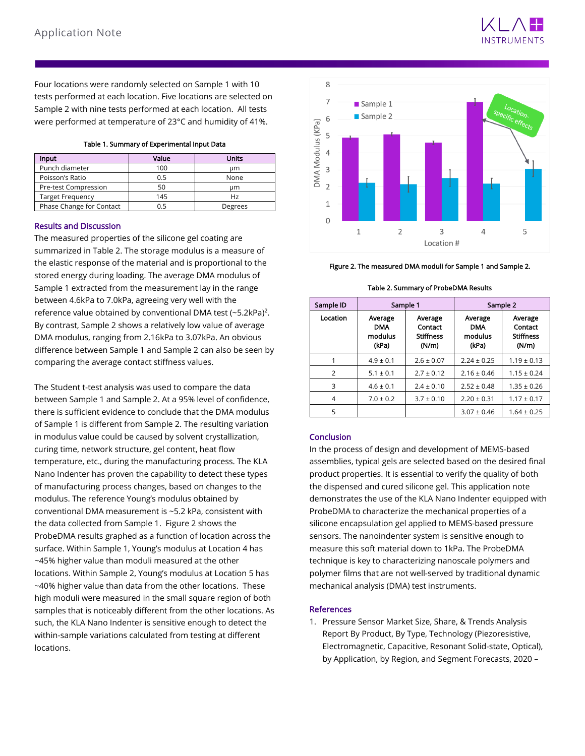

Four locations were randomly selected on Sample 1 with 10 tests performed at each location. Five locations are selected on Sample 2 with nine tests performed at each location. All tests were performed at temperature of 23°C and humidity of 41%.

| <b>Input</b>             | Value | <b>Units</b> |
|--------------------------|-------|--------------|
| Punch diameter           | 100   | um           |
| Poisson's Ratio          | 0.5   | None         |
| Pre-test Compression     | 50    | um           |
| <b>Target Frequency</b>  | 145   | Hz           |
| Phase Change for Contact | 0. 5  | Degrees      |

# Results and Discussion

The measured properties of the silicone gel coating are summarized in Table 2. The storage modulus is a measure of the elastic response of the material and is proportional to the stored energy during loading. The average DMA modulus of Sample 1 extracted from the measurement lay in the range between 4.6kPa to 7.0kPa, agreeing very well with the reference value obtained by conventional DMA test  $(-5.2kPa)^2$ . By contrast, Sample 2 shows a relatively low value of average DMA modulus, ranging from 2.16kPa to 3.07kPa. An obvious difference between Sample 1 and Sample 2 can also be seen by comparing the average contact stiffness values.

The Student t-test analysis was used to compare the data between Sample 1 and Sample 2. At a 95% level of confidence, there is sufficient evidence to conclude that the DMA modulus of Sample 1 is different from Sample 2. The resulting variation in modulus value could be caused by solvent crystallization, curing time, network structure, gel content, heat flow temperature, etc., during the manufacturing process. The KLA Nano Indenter has proven the capability to detect these types of manufacturing process changes, based on changes to the modulus. The reference Young's modulus obtained by conventional DMA measurement is ~5.2 kPa, consistent with the data collected from Sample 1. Figure 2 shows the ProbeDMA results graphed as a function of location across the surface. Within Sample 1, Young's modulus at Location 4 has ~45% higher value than moduli measured at the other locations. Within Sample 2, Young's modulus at Location 5 has ~40% higher value than data from the other locations. These high moduli were measured in the small square region of both samples that is noticeably different from the other locations. As such, the KLA Nano Indenter is sensitive enough to detect the within-sample variations calculated from testing at different locations.



Figure 2. The measured DMA moduli for Sample 1 and Sample 2.

|  |  | Table 2. Summary of ProbeDMA Results |  |
|--|--|--------------------------------------|--|
|--|--|--------------------------------------|--|

| Sample ID | Sample 1                                  |                                                 | Sample 2                                  |                                                 |
|-----------|-------------------------------------------|-------------------------------------------------|-------------------------------------------|-------------------------------------------------|
| Location  | Average<br><b>DMA</b><br>modulus<br>(kPa) | Average<br>Contact<br><b>Stiffness</b><br>(N/m) | Average<br><b>DMA</b><br>modulus<br>(kPa) | Average<br>Contact<br><b>Stiffness</b><br>(N/m) |
|           | $4.9 \pm 0.1$                             | $2.6 \pm 0.07$                                  | $2.24 \pm 0.25$                           | $1.19 \pm 0.13$                                 |
| 2         | $5.1 \pm 0.1$                             | $2.7 \pm 0.12$                                  | $2.16 \pm 0.46$                           | $1.15 \pm 0.24$                                 |
| 3         | $4.6 \pm 0.1$                             | $2.4 \pm 0.10$                                  | $2.52 \pm 0.48$                           | $1.35 \pm 0.26$                                 |
| 4         | $7.0 \pm 0.2$                             | $3.7 \pm 0.10$                                  | $2.20 \pm 0.31$                           | $1.17 \pm 0.17$                                 |
| 5         |                                           |                                                 | $3.07 \pm 0.46$                           | $1.64 \pm 0.25$                                 |

# Conclusion

In the process of design and development of MEMS-based assemblies, typical gels are selected based on the desired final product properties. It is essential to verify the quality of both the dispensed and cured silicone gel. This application note demonstrates the use of the KLA Nano Indenter equipped with ProbeDMA to characterize the mechanical properties of a silicone encapsulation gel applied to MEMS-based pressure sensors. The nanoindenter system is sensitive enough to measure this soft material down to 1kPa. The ProbeDMA technique is key to characterizing nanoscale polymers and polymer films that are not well-served by traditional dynamic mechanical analysis (DMA) test instruments.

# **References**

1. Pressure Sensor Market Size, Share, & Trends Analysis Report By Product, By Type, Technology (Piezoresistive, Electromagnetic, Capacitive, Resonant Solid-state, Optical), by Application, by Region, and Segment Forecasts, 2020 –